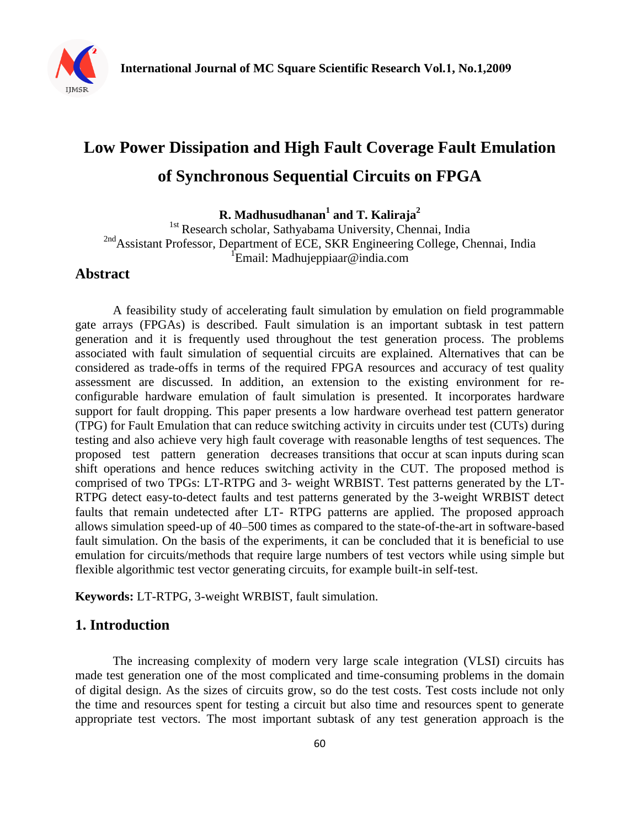

# **Low Power Dissipation and High Fault Coverage Fault Emulation of Synchronous Sequential Circuits on FPGA**

**R. Madhusudhanan<sup>1</sup> and T. Kaliraja<sup>2</sup>**

<sup>1st</sup> Research scholar, Sathyabama University, Chennai, India 2ndAssistant Professor, Department of ECE, SKR Engineering College, Chennai, India 1 Email: Madhujeppiaar@india.com

## **Abstract**

A feasibility study of accelerating fault simulation by emulation on field programmable gate arrays (FPGAs) is described. Fault simulation is an important subtask in test pattern generation and it is frequently used throughout the test generation process. The problems associated with fault simulation of sequential circuits are explained. Alternatives that can be considered as trade-offs in terms of the required FPGA resources and accuracy of test quality assessment are discussed. In addition, an extension to the existing environment for reconfigurable hardware emulation of fault simulation is presented. It incorporates hardware support for fault dropping. This paper presents a low hardware overhead test pattern generator (TPG) for Fault Emulation that can reduce switching activity in circuits under test (CUTs) during testing and also achieve very high fault coverage with reasonable lengths of test sequences. The proposed test pattern generation decreases transitions that occur at scan inputs during scan shift operations and hence reduces switching activity in the CUT. The proposed method is comprised of two TPGs: LT-RTPG and 3- weight WRBIST. Test patterns generated by the LT-RTPG detect easy-to-detect faults and test patterns generated by the 3-weight WRBIST detect faults that remain undetected after LT- RTPG patterns are applied. The proposed approach allows simulation speed-up of 40–500 times as compared to the state-of-the-art in software-based fault simulation. On the basis of the experiments, it can be concluded that it is beneficial to use emulation for circuits/methods that require large numbers of test vectors while using simple but flexible algorithmic test vector generating circuits, for example built-in self-test.

**Keywords:** LT-RTPG, 3-weight WRBIST, fault simulation.

# **1. Introduction**

The increasing complexity of modern very large scale integration (VLSI) circuits has made test generation one of the most complicated and time-consuming problems in the domain of digital design. As the sizes of circuits grow, so do the test costs. Test costs include not only the time and resources spent for testing a circuit but also time and resources spent to generate appropriate test vectors. The most important subtask of any test generation approach is the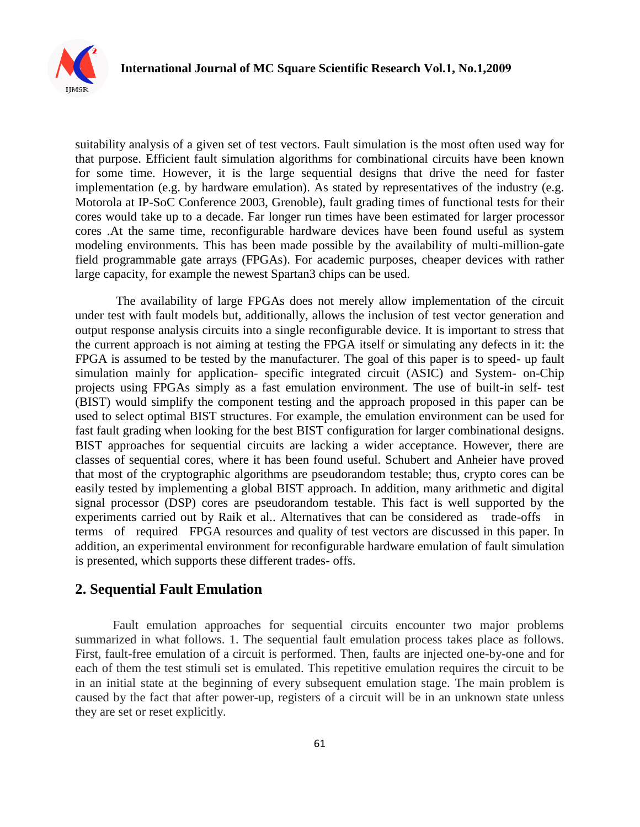

suitability analysis of a given set of test vectors. Fault simulation is the most often used way for that purpose. Efficient fault simulation algorithms for combinational circuits have been known for some time. However, it is the large sequential designs that drive the need for faster implementation (e.g. by hardware emulation). As stated by representatives of the industry (e.g. Motorola at IP-SoC Conference 2003, Grenoble), fault grading times of functional tests for their cores would take up to a decade. Far longer run times have been estimated for larger processor cores .At the same time, reconfigurable hardware devices have been found useful as system modeling environments. This has been made possible by the availability of multi-million-gate field programmable gate arrays (FPGAs). For academic purposes, cheaper devices with rather large capacity, for example the newest Spartan3 chips can be used.

The availability of large FPGAs does not merely allow implementation of the circuit under test with fault models but, additionally, allows the inclusion of test vector generation and output response analysis circuits into a single reconfigurable device. It is important to stress that the current approach is not aiming at testing the FPGA itself or simulating any defects in it: the FPGA is assumed to be tested by the manufacturer. The goal of this paper is to speed- up fault simulation mainly for application- specific integrated circuit (ASIC) and System- on-Chip projects using FPGAs simply as a fast emulation environment. The use of built-in self- test (BIST) would simplify the component testing and the approach proposed in this paper can be used to select optimal BIST structures. For example, the emulation environment can be used for fast fault grading when looking for the best BIST configuration for larger combinational designs. BIST approaches for sequential circuits are lacking a wider acceptance. However, there are classes of sequential cores, where it has been found useful. Schubert and Anheier have proved that most of the cryptographic algorithms are pseudorandom testable; thus, crypto cores can be easily tested by implementing a global BIST approach. In addition, many arithmetic and digital signal processor (DSP) cores are pseudorandom testable. This fact is well supported by the experiments carried out by Raik et al.. Alternatives that can be considered as trade-offs in terms of required FPGA resources and quality of test vectors are discussed in this paper. In addition, an experimental environment for reconfigurable hardware emulation of fault simulation is presented, which supports these different trades- offs.

## **2. Sequential Fault Emulation**

Fault emulation approaches for sequential circuits encounter two major problems summarized in what follows. 1. The sequential fault emulation process takes place as follows. First, fault-free emulation of a circuit is performed. Then, faults are injected one-by-one and for each of them the test stimuli set is emulated. This repetitive emulation requires the circuit to be in an initial state at the beginning of every subsequent emulation stage. The main problem is caused by the fact that after power-up, registers of a circuit will be in an unknown state unless they are set or reset explicitly.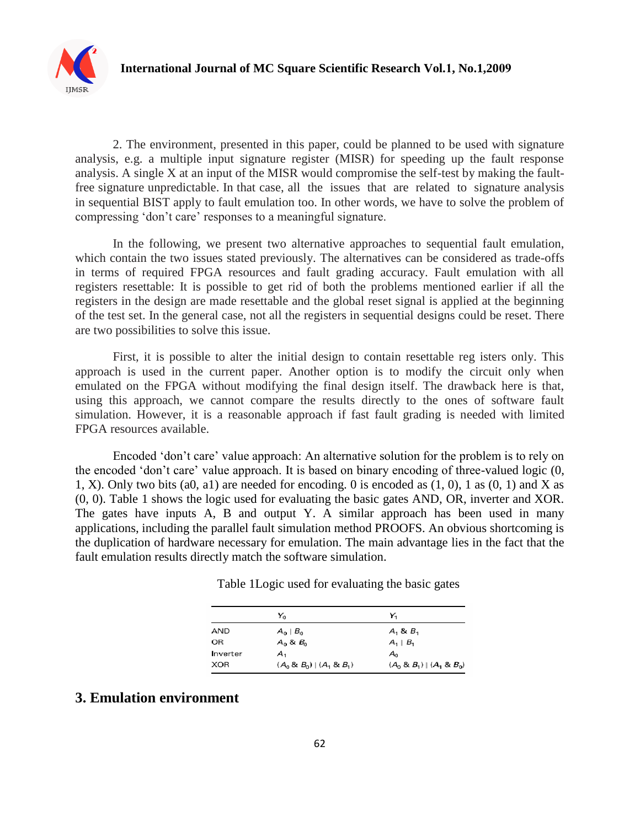

2. The environment, presented in this paper, could be planned to be used with signature analysis, e.g. a multiple input signature register (MISR) for speeding up the fault response analysis. A single X at an input of the MISR would compromise the self-test by making the faultfree signature unpredictable. In that case, all the issues that are related to signature analysis in sequential BIST apply to fault emulation too. In other words, we have to solve the problem of compressing 'don't care' responses to a meaningful signature.

In the following, we present two alternative approaches to sequential fault emulation, which contain the two issues stated previously. The alternatives can be considered as trade-offs in terms of required FPGA resources and fault grading accuracy. Fault emulation with all registers resettable: It is possible to get rid of both the problems mentioned earlier if all the registers in the design are made resettable and the global reset signal is applied at the beginning of the test set. In the general case, not all the registers in sequential designs could be reset. There are two possibilities to solve this issue.

First, it is possible to alter the initial design to contain resettable reg isters only. This approach is used in the current paper. Another option is to modify the circuit only when emulated on the FPGA without modifying the final design itself. The drawback here is that, using this approach, we cannot compare the results directly to the ones of software fault simulation. However, it is a reasonable approach if fast fault grading is needed with limited FPGA resources available.

Encoded 'don't care' value approach: An alternative solution for the problem is to rely on the encoded 'don't care' value approach. It is based on binary encoding of three-valued logic (0, 1, X). Only two bits (a0, a1) are needed for encoding. 0 is encoded as  $(1, 0)$ , 1 as  $(0, 1)$  and X as (0, 0). Table 1 shows the logic used for evaluating the basic gates AND, OR, inverter and XOR. The gates have inputs A, B and output Y. A similar approach has been used in many applications, including the parallel fault simulation method PROOFS. An obvious shortcoming is the duplication of hardware necessary for emulation. The main advantage lies in the fact that the fault emulation results directly match the software simulation.

Table 1Logic used for evaluating the basic gates

|          | Yo                            | Y1                            |
|----------|-------------------------------|-------------------------------|
| AND      | $A_0 \mid B_0$                | $A_1 \& B_1$                  |
| OR       | $A_0$ & $B_0$                 | $A_1 \mid B_1$                |
| Inverter | А,                            | $A_0$                         |
| XOR      | $(A_0 \& B_0)$ $(A_1 \& B_1)$ | $(A_0 \& B_1)$ $(A_1 \& B_0)$ |

# **3. Emulation environment**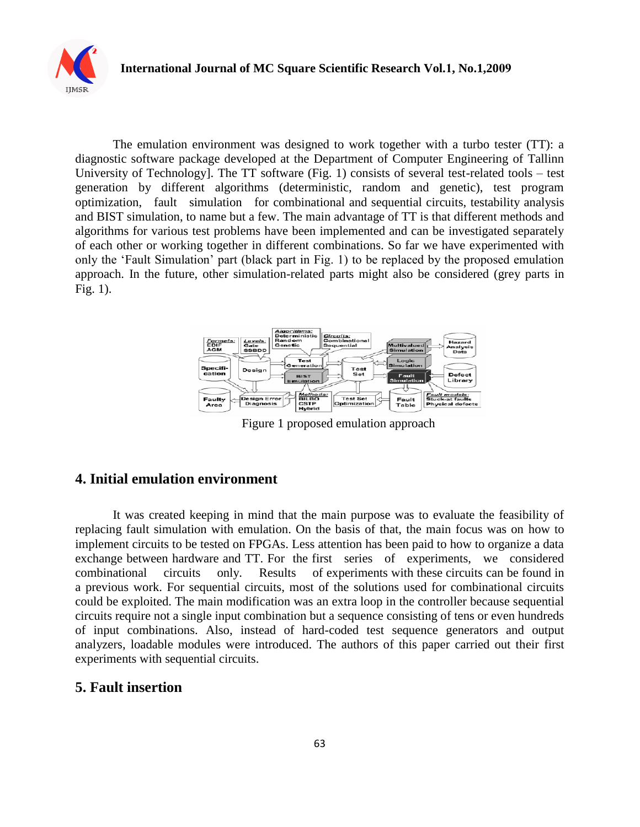

The emulation environment was designed to work together with a turbo tester (TT): a diagnostic software package developed at the Department of Computer Engineering of Tallinn University of Technology]. The TT software (Fig. 1) consists of several test-related tools – test generation by different algorithms (deterministic, random and genetic), test program optimization, fault simulation for combinational and sequential circuits, testability analysis and BIST simulation, to name but a few. The main advantage of TT is that different methods and algorithms for various test problems have been implemented and can be investigated separately of each other or working together in different combinations. So far we have experimented with only the 'Fault Simulation' part (black part in Fig. 1) to be replaced by the proposed emulation approach. In the future, other simulation-related parts might also be considered (grey parts in Fig. 1).



Figure 1 proposed emulation approach

## **4. Initial emulation environment**

It was created keeping in mind that the main purpose was to evaluate the feasibility of replacing fault simulation with emulation. On the basis of that, the main focus was on how to implement circuits to be tested on FPGAs. Less attention has been paid to how to organize a data exchange between hardware and TT. For the first series of experiments, we considered combinational circuits only. Results of experiments with these circuits can be found in a previous work. For sequential circuits, most of the solutions used for combinational circuits could be exploited. The main modification was an extra loop in the controller because sequential circuits require not a single input combination but a sequence consisting of tens or even hundreds of input combinations. Also, instead of hard-coded test sequence generators and output analyzers, loadable modules were introduced. The authors of this paper carried out their first experiments with sequential circuits.

#### **5. Fault insertion**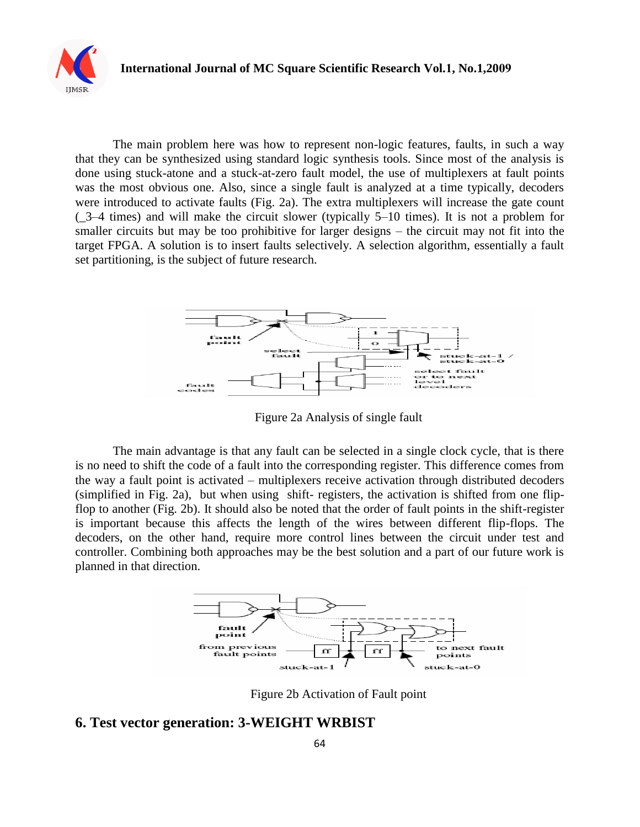

The main problem here was how to represent non-logic features, faults, in such a way that they can be synthesized using standard logic synthesis tools. Since most of the analysis is done using stuck-atone and a stuck-at-zero fault model, the use of multiplexers at fault points was the most obvious one. Also, since a single fault is analyzed at a time typically, decoders were introduced to activate faults (Fig. 2a). The extra multiplexers will increase the gate count  $(3-4 \text{ times})$  and will make the circuit slower (typically 5–10 times). It is not a problem for smaller circuits but may be too prohibitive for larger designs – the circuit may not fit into the target FPGA. A solution is to insert faults selectively. A selection algorithm, essentially a fault set partitioning, is the subject of future research.



Figure 2a Analysis of single fault

The main advantage is that any fault can be selected in a single clock cycle, that is there is no need to shift the code of a fault into the corresponding register. This difference comes from the way a fault point is activated – multiplexers receive activation through distributed decoders (simplified in Fig. 2a), but when using shift- registers, the activation is shifted from one flipflop to another (Fig. 2b). It should also be noted that the order of fault points in the shift-register is important because this affects the length of the wires between different flip-flops. The decoders, on the other hand, require more control lines between the circuit under test and controller. Combining both approaches may be the best solution and a part of our future work is planned in that direction.



Figure 2b Activation of Fault point

## **6. Test vector generation: 3-WEIGHT WRBIST**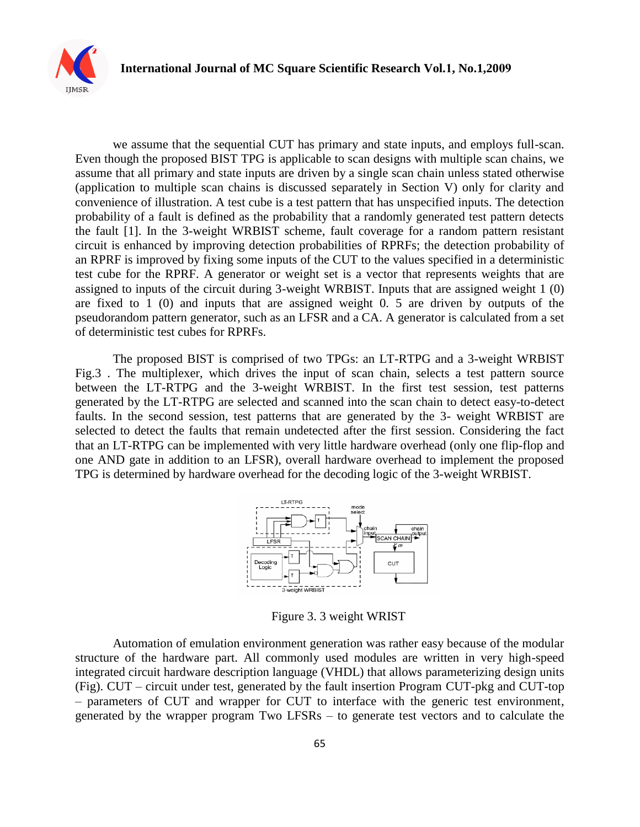

we assume that the sequential CUT has primary and state inputs, and employs full-scan. Even though the proposed BIST TPG is applicable to scan designs with multiple scan chains, we assume that all primary and state inputs are driven by a single scan chain unless stated otherwise (application to multiple scan chains is discussed separately in Section V) only for clarity and convenience of illustration. A test cube is a test pattern that has unspecified inputs. The detection probability of a fault is defined as the probability that a randomly generated test pattern detects the fault [1]. In the 3-weight WRBIST scheme, fault coverage for a random pattern resistant circuit is enhanced by improving detection probabilities of RPRFs; the detection probability of an RPRF is improved by fixing some inputs of the CUT to the values specified in a deterministic test cube for the RPRF. A generator or weight set is a vector that represents weights that are assigned to inputs of the circuit during 3-weight WRBIST. Inputs that are assigned weight 1 (0) are fixed to 1 (0) and inputs that are assigned weight 0. 5 are driven by outputs of the pseudorandom pattern generator, such as an LFSR and a CA. A generator is calculated from a set of deterministic test cubes for RPRFs.

The proposed BIST is comprised of two TPGs: an LT-RTPG and a 3-weight WRBIST Fig.3 . The multiplexer, which drives the input of scan chain, selects a test pattern source between the LT-RTPG and the 3-weight WRBIST. In the first test session, test patterns generated by the LT-RTPG are selected and scanned into the scan chain to detect easy-to-detect faults. In the second session, test patterns that are generated by the 3- weight WRBIST are selected to detect the faults that remain undetected after the first session. Considering the fact that an LT-RTPG can be implemented with very little hardware overhead (only one flip-flop and one AND gate in addition to an LFSR), overall hardware overhead to implement the proposed TPG is determined by hardware overhead for the decoding logic of the 3-weight WRBIST.



Figure 3. 3 weight WRIST

Automation of emulation environment generation was rather easy because of the modular structure of the hardware part. All commonly used modules are written in very high-speed integrated circuit hardware description language (VHDL) that allows parameterizing design units (Fig). CUT – circuit under test, generated by the fault insertion Program CUT-pkg and CUT-top – parameters of CUT and wrapper for CUT to interface with the generic test environment, generated by the wrapper program Two LFSRs – to generate test vectors and to calculate the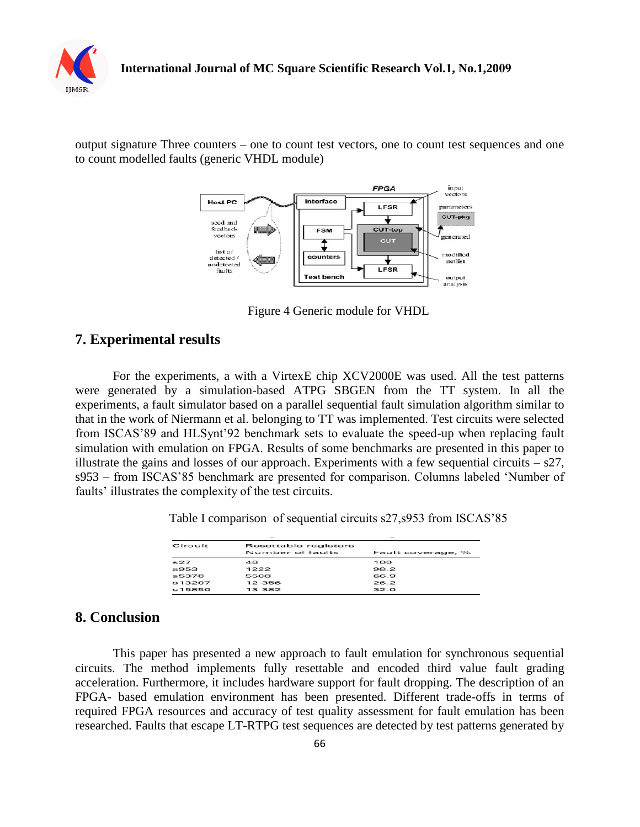

output signature Three counters – one to count test vectors, one to count test sequences and one to count modelled faults (generic VHDL module)



Figure 4 Generic module for VHDL

#### **7. Experimental results**

For the experiments, a with a VirtexE chip XCV2000E was used. All the test patterns were generated by a simulation-based ATPG SBGEN from the TT system. In all the experiments, a fault simulator based on a parallel sequential fault simulation algorithm similar to that in the work of Niermann et al. belonging to TT was implemented. Test circuits were selected from ISCAS'89 and HLSynt'92 benchmark sets to evaluate the speed-up when replacing fault simulation with emulation on FPGA. Results of some benchmarks are presented in this paper to illustrate the gains and losses of our approach. Experiments with a few sequential circuits  $-$  s27, s953 – from ISCAS'85 benchmark are presented for comparison. Columns labeled 'Number of faults' illustrates the complexity of the test circuits.

Table I comparison of sequential circuits s27,s953 from ISCAS'85

| Circuit | Resettable registers |                   |  |
|---------|----------------------|-------------------|--|
|         | Number of faults     | Fault coverage, % |  |
| s27     | 46                   | 100               |  |
| 8953    | 1222                 | 98.2              |  |
| \$5378  | 5508                 | 66.9              |  |
| s 13207 | 12356                | 26.2              |  |
| \$15850 | 13.382               | 32.0              |  |

#### **8. Conclusion**

This paper has presented a new approach to fault emulation for synchronous sequential circuits. The method implements fully resettable and encoded third value fault grading acceleration. Furthermore, it includes hardware support for fault dropping. The description of an FPGA- based emulation environment has been presented. Different trade-offs in terms of required FPGA resources and accuracy of test quality assessment for fault emulation has been researched. Faults that escape LT-RTPG test sequences are detected by test patterns generated by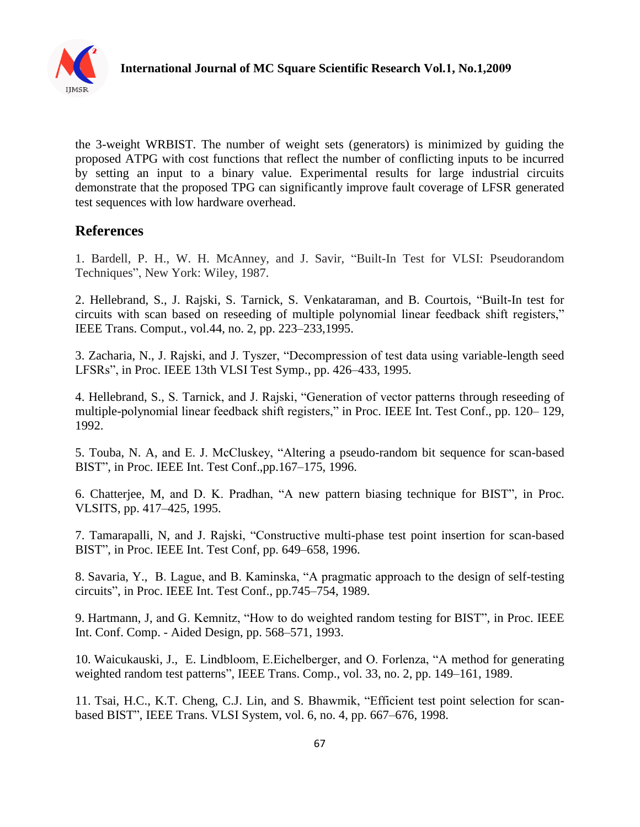

the 3-weight WRBIST. The number of weight sets (generators) is minimized by guiding the proposed ATPG with cost functions that reflect the number of conflicting inputs to be incurred by setting an input to a binary value. Experimental results for large industrial circuits demonstrate that the proposed TPG can significantly improve fault coverage of LFSR generated test sequences with low hardware overhead.

# **References**

1. Bardell, P. H., W. H. McAnney, and J. Savir, "Built-In Test for VLSI: Pseudorandom Techniques", New York: Wiley, 1987.

2. Hellebrand, S., J. Rajski, S. Tarnick, S. Venkataraman, and B. Courtois, "Built-In test for circuits with scan based on reseeding of multiple polynomial linear feedback shift registers," IEEE Trans. Comput., vol.44, no. 2, pp. 223–233,1995.

3. Zacharia, N., J. Rajski, and J. Tyszer, "Decompression of test data using variable-length seed LFSRs", in Proc. IEEE 13th VLSI Test Symp., pp. 426–433, 1995.

4. Hellebrand, S., S. Tarnick, and J. Rajski, "Generation of vector patterns through reseeding of multiple-polynomial linear feedback shift registers," in Proc. IEEE Int. Test Conf., pp. 120– 129, 1992.

5. Touba, N. A, and E. J. McCluskey, "Altering a pseudo-random bit sequence for scan-based BIST", in Proc. IEEE Int. Test Conf.,pp.167–175, 1996.

6. Chatterjee, M, and D. K. Pradhan, "A new pattern biasing technique for BIST", in Proc. VLSITS, pp. 417–425, 1995.

7. Tamarapalli, N, and J. Rajski, "Constructive multi-phase test point insertion for scan-based BIST", in Proc. IEEE Int. Test Conf, pp. 649–658, 1996.

8. Savaria, Y., B. Lague, and B. Kaminska, "A pragmatic approach to the design of self-testing circuits", in Proc. IEEE Int. Test Conf., pp.745–754, 1989.

9. Hartmann, J, and G. Kemnitz, "How to do weighted random testing for BIST", in Proc. IEEE Int. Conf. Comp. - Aided Design, pp. 568–571, 1993.

10. Waicukauski, J., E. Lindbloom, E.Eichelberger, and O. Forlenza, "A method for generating weighted random test patterns", IEEE Trans. Comp., vol. 33, no. 2, pp. 149–161, 1989.

11. Tsai, H.C., K.T. Cheng, C.J. Lin, and S. Bhawmik, "Efficient test point selection for scanbased BIST", IEEE Trans. VLSI System, vol. 6, no. 4, pp. 667–676, 1998.